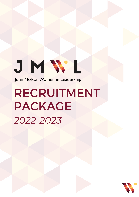# JMWL John Molson Women in Leadership

# RECRUITMENT PACKAGE *2022-2023*

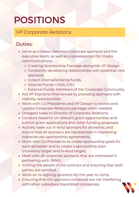### *VP Corporate Relations*

- Serve as a liaison between corporate sponsors and the executive team, as well as a spokesperson for media communications.
	- Creating Sponsorship Package alongside VP Design.
	- Constantly developing relationships with potential new sponsors.
	- Collect internal/external funds.
	- o Internal Funds: CASA, CSU
	- o External Funds: Members of the Corporate Community
- Aid VP Events to find venues by providing sponsors with visibility opportunities
- Work with Co-Presidents and VP Design to review and update Corporate Relations package when needed.
- Delegate tasks to Director of Corporate Relations.
- Conduct research on relevant grant opportunities and submit grant applications and other funding proposals.
- Actively seek out in-kind sponsors for all events, and ensure that all sponsors are represented in marketing materials per sponsorship agreements.
- Work with Co-Presidents to create sponsorship goals for each semester and to create a sponsorship plan (monetary target and in-kind target)
- Meet with all corporate sponsors that are interested in partnering with JMWL
- Writing the details of the contract and ensuring that both parties are satisfied.
- Work on re-signing sponsors for the year to come.
- Ensuring that the sponsors contacted are not interfering with other subsidiary blacklisted companies.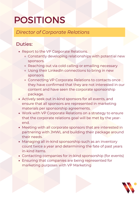#### *Director of Corporate Relations*

- Report to the VP Corporate Relations.
	- o Constantly developing relationships with potential new sponsors.
	- Reaching out via cold calling or emailing necessary
	- Using their Linkedln connections to bring in new sponsors.
	- o Connecting VP Corporate Relations to contacts once they have confirmed that they are not interested in our content and have seen the corporate sponsorship package.
- Actively seek out in-kind sponsors for all events, and ensure that all sponsors are represented in marketing materials per sponsorship agreements.
- Work with VP Corporate Relations on a strategy to ensure that the corporate relations goal will be met by the yearend.
- Meeting with all corporate sponsors that are interested in partnering with JMWL and building their package around their needs.
- Managing all in-kind sponsorship such as an inventory count twice a year and determining the fate of past years in-kind items.
- Contacting companies for in-kind sponsorship (for events)
- Ensuring that companies are being represented for marketing purposes with VP Marketing

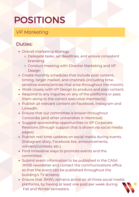### *VP Marketing*

- Overall marketing strategy
	- o Delegate tasks, set deadlines, and ensure consistent branding.
	- Conduct meeting with Director Marketing and VP Design
- Create monthly schedules that include post content, timing, target market, and channels (including timesensitive events/articles that arise throughout the month).
- Work closely with VP Design to produce and plan content.
- Respond to any inquiries on any of the platforms or pass them along to the correct executive member(s).
- Publish all relevant content on Facebook, Instagram and Linkedln.
- Ensure that our committee is known throughout Concordia (and other universities in Montreal).
- Suggest sponsorship opportunities to VP Corporate Relations (through support that is shown via social media pages).
- Publish real-time updates on social media during events (Instagram story, Facebook live, announcements, winners/contests, etc.)
- Find innovative ways to promote events and the committee.
- Submit event information to be published in the CASA JMSB newsletter and contact the communications office so that the event can be published throughout the building's TV screens.
- Ensure that JMWL remains active on all three social media platforms, by having at least one post per week during Fall and Winter semesters.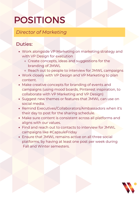*Director of Marketing*

- Work alongside VP Marketing on marketing strategy and with VP Design for execution
	- Create concepts, ideas and suggestions for the branding of JMWL
	- o Reach out to people to interview for JMWL campaigns
- Work closely with VP Design and VP Marketing to plan content.
- Make creative concepts for branding of events and campaigns (using mood boards, Pinterest inspiration, to collaborate with VP Marketing and VP Design)
- Suggest new themes or features that JMWL can use on social media.
- Remind Executives/Collaborators/Ambassadors when it's their day to post for the sharing schedule.
- Make sure content is consistent across all platforms and aligns with our values.
- Find and reach out to contacts to interview for JMWL campaigns like #CapsuleFriday
- Ensure that JMWL remains active on all three social platforms, by having at least one post per week during Fall and Winter semesters.

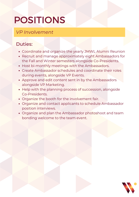### *VP Involvement*

- Coordinate and organize the yearly JMWL Alumni Reunion
- Recruit and manage approximately eight Ambassadors for the Fall and Winter semesters alongside Co-Presidents.
- Host bi-monthly meetings with the Ambassadors.
- Create Ambassador schedules and coordinate their roles during events, alongside VP Events.
- Approve and edit content sent in by the Ambassadors alongside VP Marketing.
- Help with the planning process of succession, alongside Co-Presidents.
- Organize the booth for the involvement fair.
- Organize and contact applicants to schedule Ambassador position interviews.
- Organize and plan the Ambassador photoshoot and team bonding welcome to the team event.

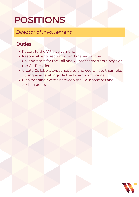*Director of Involvement*

- Report to the VP Involvement.
- Responsible for recruiting and managing the Collaborators for the Fall and Winter semesters alongside the Co-Presidents.
- Create Collaborators schedules and coordinate their roles during events, alongside the Director of Events.
- Plan bonding events between the Collaborators and Ambassadors.

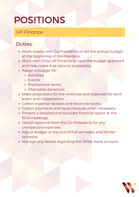### *VP Finance*

- Work closely with Co-Presidents to set the annual budget at the beginning of the mandate.
- Work with CASA VP Finance to have the budget approved and help make it as rational as possible.
- Assign a budget for:
	- Activities
	- Events
	- Promotional items
	- Charitable donations
- Make projections for the revenues and expenses for each event and collaboration.
- Collect expense receipts and reconcile books.
- Collect payments and issue cheques when necessary.
- Present a detailed and accurate financial report at the BOA meetings.
- Obtain approval from the Co-Presidents for any unexpected expenses.
- Adjust budget at the end of Fall semester and Winter semester.
- Manage any details regarding the JMWL bank account.

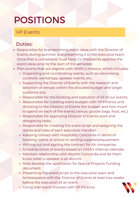### *VP Events*

- Responsible for brainstorming event ideas with the Director of Events during summer and presenting it to the executive team. Once that is completed, must have Co-Presidents approve the event ideas prior to the start of the semester.
- Plan events that are aligned with JMWL's mission, which includes:
	- Organizing and coordinating events, such as networking cocktails, workshops, speaker events, etc.
	- o Supporting the Director of Events with the research and selection of venues within the allocated budget and target audience size.
	- o Responsible for the booking and execution of all of our events.
	- Responsible for creating event budget with VP Finance and dictating to the Director of Events the budget and how much to spend on each of the events (venue, goodie bags, food, etc.)
	- o Responsible for approving Director of Events work and delegating tasks.
	- o Responsible for creating the event script and assigning the duties and roles of each executive member.
	- o Keeping contact with Hospitality Concordia in terms of booking rooms at school or renting suppliers/equipment.
	- Writing out and signing the contract for AV companies.
	- Schedule times of events based on CASA's internal calendar.
	- Maintain relationship with Alumni Concordia and let them know when a speaker is an alumni.
	- o Help develop the application for Special Projects Funding document.
	- o Presenting the event script to the executive team and Ambassadors with the Director of Events at least two weeks before the execution of an event.
	- Going over event invoices with VP Finance

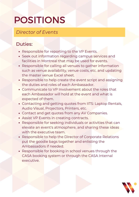#### *Director of Events*

- Responsible for reporting to the VP Events.
- Seek out information regarding campus services and facilities in Montreal that may be used for events.
- Responsible for calling all venues to gather information such as venue availability, venue costs, etc. and updating the master venue Excel sheet.
- Responsible to help create the event script and assigning the duties and roles of each Ambassador.
- Communicate to VP Involvement about the roles that each Ambassador will hold at the event and what is expected of them.
- Contacting and getting quotes from IITS: Laptop Rentals, Audio Visual, Projectors, Printers, etc.
- Contact and get quotes from any AV Companies.
- Assist VP Events in creating contracts.
- Responsible for seeking individuals or activities that can elevate an event's atmosphere, and sharing these ideas with the executive team.
- Responsible to help the Director of Corporate Relations put the goodie bags together and enlisting the Ambassadors if needed.
- Responsible for booking in school venues through the CASA booking system or through the CASA Internal executive.

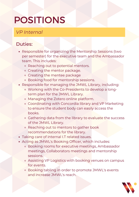### *VP Internal*

- Responsible for organizing the Mentorship Sessions (two per semester) for the executive team and the Ambassador team. This includes:
	- Reaching out to potential mentors.
	- Creating the mentor package.
	- Creating the mentee package
	- Booking food for mentorship sessions.
- Responsible for managing the JMWL Library, including:
	- Working with the Co-Presidents to develop a longterm plan for the JMWL Library.
	- Managing the Zotero online platform.
	- Coordinating with Concordia library and VP Marketing to ensure the student body can easily access the books.
	- o Gathering data from the library to evaluate the success of the JMWL Library.
	- Reaching out to mentors to gather book recommendations for the library.
- Taking care of internal I.T related issues.
- Acting as JMWL's Booking Officer, which includes:
	- Booking rooms for executive meetings, Ambassador meetings, Collaborators meetings and mentorship sessions.
	- Assisting VP Logistics with booking venues on campus for events.
	- Booking tabling in order to promote JMWL's events and increase JMWL's reach.